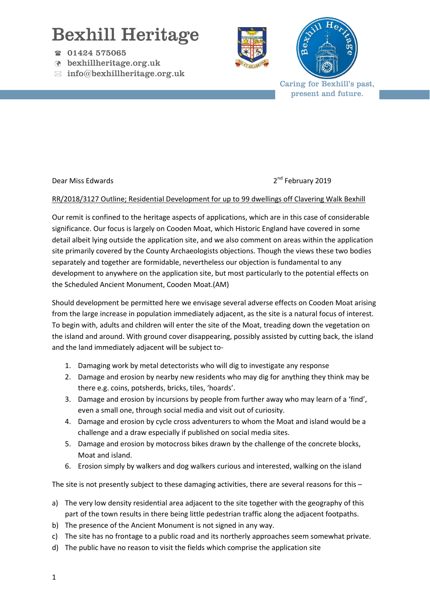## Bexhill Heritage

- 01424 575065
- bexhillheritage.org.uk
- $\boxtimes$  info@bexhillheritage.org.uk





Caring for Bexhill's past, present and future.

Dear Miss Edwards 2019

## RR/2018/3127 Outline; Residential Development for up to 99 dwellings off Clavering Walk Bexhill

Our remit is confined to the heritage aspects of applications, which are in this case of considerable significance. Our focus is largely on Cooden Moat, which Historic England have covered in some detail albeit lying outside the application site, and we also comment on areas within the application site primarily covered by the County Archaeologists objections. Though the views these two bodies separately and together are formidable, nevertheless our objection is fundamental to any development to anywhere on the application site, but most particularly to the potential effects on the Scheduled Ancient Monument, Cooden Moat.(AM)

Should development be permitted here we envisage several adverse effects on Cooden Moat arising from the large increase in population immediately adjacent, as the site is a natural focus of interest. To begin with, adults and children will enter the site of the Moat, treading down the vegetation on the island and around. With ground cover disappearing, possibly assisted by cutting back, the island and the land immediately adjacent will be subject to-

- 1. Damaging work by metal detectorists who will dig to investigate any response
- 2. Damage and erosion by nearby new residents who may dig for anything they think may be there e.g. coins, potsherds, bricks, tiles, 'hoards'.
- 3. Damage and erosion by incursions by people from further away who may learn of a 'find', even a small one, through social media and visit out of curiosity.
- 4. Damage and erosion by cycle cross adventurers to whom the Moat and island would be a challenge and a draw especially if published on social media sites.
- 5. Damage and erosion by motocross bikes drawn by the challenge of the concrete blocks, Moat and island.
- 6. Erosion simply by walkers and dog walkers curious and interested, walking on the island

The site is not presently subject to these damaging activities, there are several reasons for this -

- a) The very low density residential area adjacent to the site together with the geography of this part of the town results in there being little pedestrian traffic along the adjacent footpaths.
- b) The presence of the Ancient Monument is not signed in any way.
- c) The site has no frontage to a public road and its northerly approaches seem somewhat private.
- d) The public have no reason to visit the fields which comprise the application site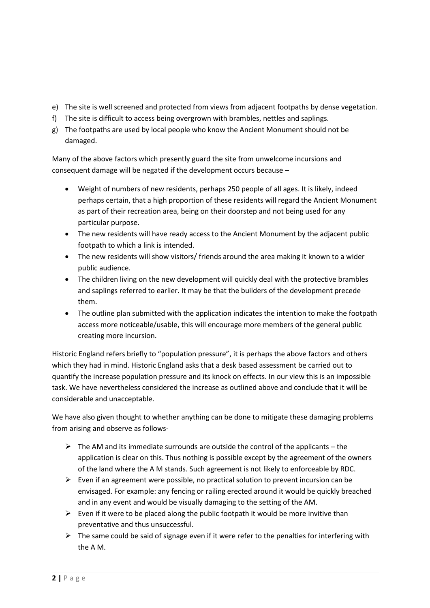- e) The site is well screened and protected from views from adjacent footpaths by dense vegetation.
- f) The site is difficult to access being overgrown with brambles, nettles and saplings.
- g) The footpaths are used by local people who know the Ancient Monument should not be damaged.

Many of the above factors which presently guard the site from unwelcome incursions and consequent damage will be negated if the development occurs because  $-$ 

- Weight of numbers of new residents, perhaps 250 people of all ages. It is likely, indeed perhaps certain, that a high proportion of these residents will regard the Ancient Monument as part of their recreation area, being on their doorstep and not being used for any particular purpose.
- The new residents will have ready access to the Ancient Monument by the adjacent public footpath to which a link is intended.
- The new residents will show visitors/ friends around the area making it known to a wider public audience.
- The children living on the new development will quickly deal with the protective brambles and saplings referred to earlier. It may be that the builders of the development precede them.
- The outline plan submitted with the application indicates the intention to make the footpath access more noticeable/usable, this will encourage more members of the general public creating more incursion.

Historic England refers briefly to "population pressure", it is perhaps the above factors and others which they had in mind. Historic England asks that a desk based assessment be carried out to quantify the increase population pressure and its knock on effects. In our view this is an impossible task. We have nevertheless considered the increase as outlined above and conclude that it will be considerable and unacceptable.

We have also given thought to whether anything can be done to mitigate these damaging problems from arising and observe as follows-

- $\triangleright$  The AM and its immediate surrounds are outside the control of the applicants the application is clear on this. Thus nothing is possible except by the agreement of the owners of the land where the A M stands. Such agreement is not likely to enforceable by RDC.
- $\triangleright$  Even if an agreement were possible, no practical solution to prevent incursion can be envisaged. For example: any fencing or railing erected around it would be quickly breached and in any event and would be visually damaging to the setting of the AM.
- $\triangleright$  Even if it were to be placed along the public footpath it would be more invitive than preventative and thus unsuccessful.
- $\triangleright$  The same could be said of signage even if it were refer to the penalties for interfering with the A M.